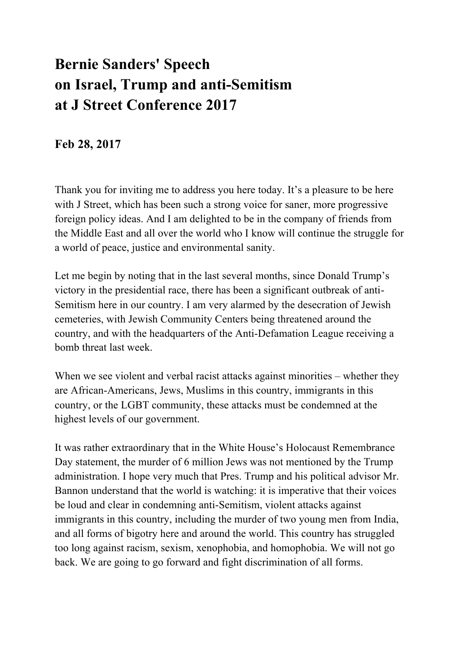## **Bernie Sanders' Speech on Israel, Trump and anti-Semitism at J Street Conference 2017**

## **Feb 28, 2017**

Thank you for inviting me to address you here today. It's a pleasure to be here with J Street, which has been such a strong voice for saner, more progressive foreign policy ideas. And I am delighted to be in the company of friends from the Middle East and all over the world who I know will continue the struggle for a world of peace, justice and environmental sanity.

Let me begin by noting that in the last several months, since Donald Trump's victory in the presidential race, there has been a significant outbreak of anti-Semitism here in our country. I am very alarmed by the desecration of Jewish cemeteries, with Jewish Community Centers being threatened around the country, and with the headquarters of the Anti-Defamation League receiving a bomb threat last week.

When we see violent and verbal racist attacks against minorities – whether they are African-Americans, Jews, Muslims in this country, immigrants in this country, or the LGBT community, these attacks must be condemned at the highest levels of our government.

It was rather extraordinary that in the White House's Holocaust Remembrance Day statement, the murder of 6 million Jews was not mentioned by the Trump administration. I hope very much that Pres. Trump and his political advisor Mr. Bannon understand that the world is watching: it is imperative that their voices be loud and clear in condemning anti-Semitism, violent attacks against immigrants in this country, including the murder of two young men from India, and all forms of bigotry here and around the world. This country has struggled too long against racism, sexism, xenophobia, and homophobia. We will not go back. We are going to go forward and fight discrimination of all forms.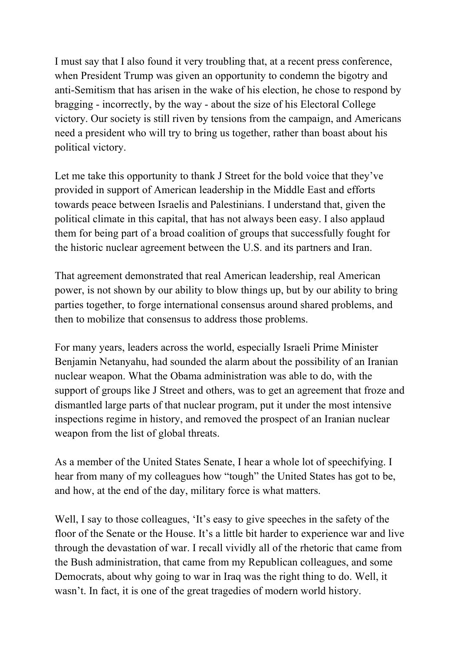I must say that I also found it very troubling that, at a recent press conference, when President Trump was given an opportunity to condemn the bigotry and anti-Semitism that has arisen in the wake of his election, he chose to respond by bragging - incorrectly, by the way - about the size of his Electoral College victory. Our society is still riven by tensions from the campaign, and Americans need a president who will try to bring us together, rather than boast about his political victory.

Let me take this opportunity to thank J Street for the bold voice that they've provided in support of American leadership in the Middle East and efforts towards peace between Israelis and Palestinians. I understand that, given the political climate in this capital, that has not always been easy. I also applaud them for being part of a broad coalition of groups that successfully fought for the historic nuclear agreement between the U.S. and its partners and Iran.

That agreement demonstrated that real American leadership, real American power, is not shown by our ability to blow things up, but by our ability to bring parties together, to forge international consensus around shared problems, and then to mobilize that consensus to address those problems.

For many years, leaders across the world, especially Israeli Prime Minister Benjamin Netanyahu, had sounded the alarm about the possibility of an Iranian nuclear weapon. What the Obama administration was able to do, with the support of groups like J Street and others, was to get an agreement that froze and dismantled large parts of that nuclear program, put it under the most intensive inspections regime in history, and removed the prospect of an Iranian nuclear weapon from the list of global threats.

As a member of the United States Senate, I hear a whole lot of speechifying. I hear from many of my colleagues how "tough" the United States has got to be, and how, at the end of the day, military force is what matters.

Well, I say to those colleagues, 'It's easy to give speeches in the safety of the floor of the Senate or the House. It's a little bit harder to experience war and live through the devastation of war. I recall vividly all of the rhetoric that came from the Bush administration, that came from my Republican colleagues, and some Democrats, about why going to war in Iraq was the right thing to do. Well, it wasn't. In fact, it is one of the great tragedies of modern world history.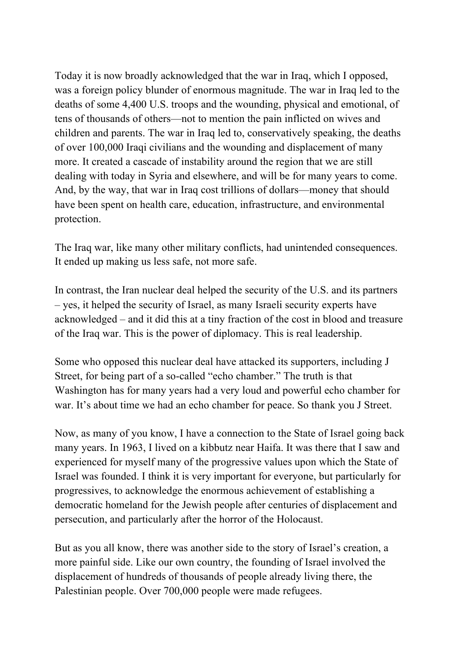Today it is now broadly acknowledged that the war in Iraq, which I opposed, was a foreign policy blunder of enormous magnitude. The war in Iraq led to the deaths of some 4,400 U.S. troops and the wounding, physical and emotional, of tens of thousands of others—not to mention the pain inflicted on wives and children and parents. The war in Iraq led to, conservatively speaking, the deaths of over 100,000 Iraqi civilians and the wounding and displacement of many more. It created a cascade of instability around the region that we are still dealing with today in Syria and elsewhere, and will be for many years to come. And, by the way, that war in Iraq cost trillions of dollars—money that should have been spent on health care, education, infrastructure, and environmental protection.

The Iraq war, like many other military conflicts, had unintended consequences. It ended up making us less safe, not more safe.

In contrast, the Iran nuclear deal helped the security of the U.S. and its partners – yes, it helped the security of Israel, as many Israeli security experts have acknowledged – and it did this at a tiny fraction of the cost in blood and treasure of the Iraq war. This is the power of diplomacy. This is real leadership.

Some who opposed this nuclear deal have attacked its supporters, including J Street, for being part of a so-called "echo chamber." The truth is that Washington has for many years had a very loud and powerful echo chamber for war. It's about time we had an echo chamber for peace. So thank you J Street.

Now, as many of you know, I have a connection to the State of Israel going back many years. In 1963, I lived on a kibbutz near Haifa. It was there that I saw and experienced for myself many of the progressive values upon which the State of Israel was founded. I think it is very important for everyone, but particularly for progressives, to acknowledge the enormous achievement of establishing a democratic homeland for the Jewish people after centuries of displacement and persecution, and particularly after the horror of the Holocaust.

But as you all know, there was another side to the story of Israel's creation, a more painful side. Like our own country, the founding of Israel involved the displacement of hundreds of thousands of people already living there, the Palestinian people. Over 700,000 people were made refugees.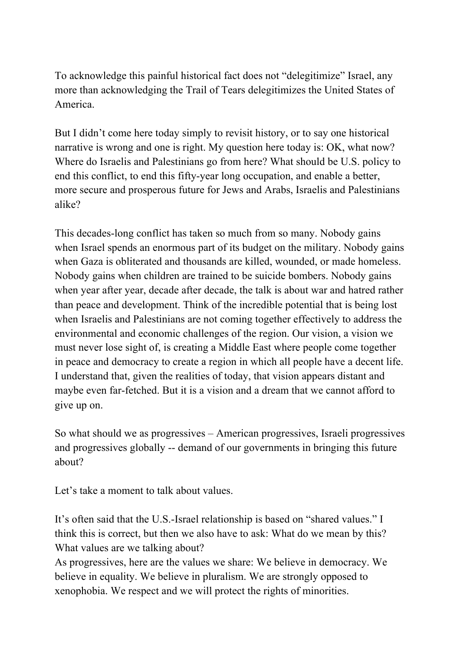To acknowledge this painful historical fact does not "delegitimize" Israel, any more than acknowledging the Trail of Tears delegitimizes the United States of America.

But I didn't come here today simply to revisit history, or to say one historical narrative is wrong and one is right. My question here today is: OK, what now? Where do Israelis and Palestinians go from here? What should be U.S. policy to end this conflict, to end this fifty-year long occupation, and enable a better, more secure and prosperous future for Jews and Arabs, Israelis and Palestinians alike?

This decades-long conflict has taken so much from so many. Nobody gains when Israel spends an enormous part of its budget on the military. Nobody gains when Gaza is obliterated and thousands are killed, wounded, or made homeless. Nobody gains when children are trained to be suicide bombers. Nobody gains when year after year, decade after decade, the talk is about war and hatred rather than peace and development. Think of the incredible potential that is being lost when Israelis and Palestinians are not coming together effectively to address the environmental and economic challenges of the region. Our vision, a vision we must never lose sight of, is creating a Middle East where people come together in peace and democracy to create a region in which all people have a decent life. I understand that, given the realities of today, that vision appears distant and maybe even far-fetched. But it is a vision and a dream that we cannot afford to give up on.

So what should we as progressives – American progressives, Israeli progressives and progressives globally -- demand of our governments in bringing this future about?

Let's take a moment to talk about values.

It's often said that the U.S.-Israel relationship is based on "shared values." I think this is correct, but then we also have to ask: What do we mean by this? What values are we talking about?

As progressives, here are the values we share: We believe in democracy. We believe in equality. We believe in pluralism. We are strongly opposed to xenophobia. We respect and we will protect the rights of minorities.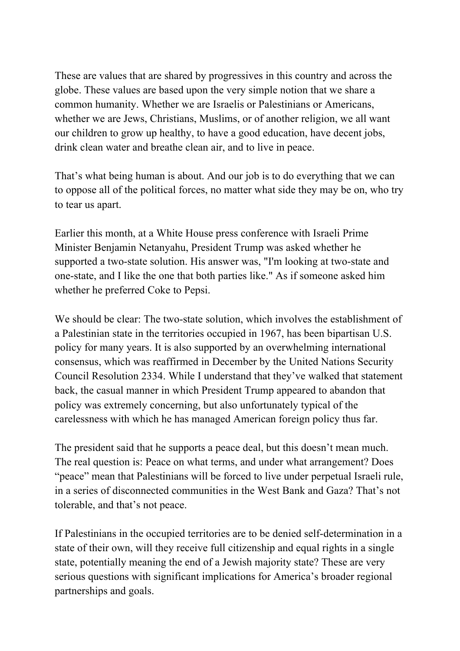These are values that are shared by progressives in this country and across the globe. These values are based upon the very simple notion that we share a common humanity. Whether we are Israelis or Palestinians or Americans, whether we are Jews, Christians, Muslims, or of another religion, we all want our children to grow up healthy, to have a good education, have decent jobs, drink clean water and breathe clean air, and to live in peace.

That's what being human is about. And our job is to do everything that we can to oppose all of the political forces, no matter what side they may be on, who try to tear us apart.

Earlier this month, at a White House press conference with Israeli Prime Minister Benjamin Netanyahu, President Trump was asked whether he supported a two-state solution. His answer was, "I'm looking at two-state and one-state, and I like the one that both parties like." As if someone asked him whether he preferred Coke to Pepsi.

We should be clear: The two-state solution, which involves the establishment of a Palestinian state in the territories occupied in 1967, has been bipartisan U.S. policy for many years. It is also supported by an overwhelming international consensus, which was reaffirmed in December by the United Nations Security Council Resolution 2334. While I understand that they've walked that statement back, the casual manner in which President Trump appeared to abandon that policy was extremely concerning, but also unfortunately typical of the carelessness with which he has managed American foreign policy thus far.

The president said that he supports a peace deal, but this doesn't mean much. The real question is: Peace on what terms, and under what arrangement? Does "peace" mean that Palestinians will be forced to live under perpetual Israeli rule, in a series of disconnected communities in the West Bank and Gaza? That's not tolerable, and that's not peace.

If Palestinians in the occupied territories are to be denied self-determination in a state of their own, will they receive full citizenship and equal rights in a single state, potentially meaning the end of a Jewish majority state? These are very serious questions with significant implications for America's broader regional partnerships and goals.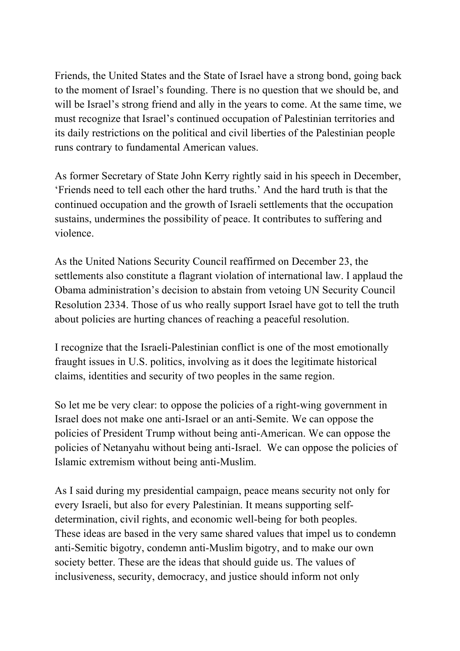Friends, the United States and the State of Israel have a strong bond, going back to the moment of Israel's founding. There is no question that we should be, and will be Israel's strong friend and ally in the years to come. At the same time, we must recognize that Israel's continued occupation of Palestinian territories and its daily restrictions on the political and civil liberties of the Palestinian people runs contrary to fundamental American values.

As former Secretary of State John Kerry rightly said in his speech in December, 'Friends need to tell each other the hard truths.' And the hard truth is that the continued occupation and the growth of Israeli settlements that the occupation sustains, undermines the possibility of peace. It contributes to suffering and violence.

As the United Nations Security Council reaffirmed on December 23, the settlements also constitute a flagrant violation of international law. I applaud the Obama administration's decision to abstain from vetoing UN Security Council Resolution 2334. Those of us who really support Israel have got to tell the truth about policies are hurting chances of reaching a peaceful resolution.

I recognize that the Israeli-Palestinian conflict is one of the most emotionally fraught issues in U.S. politics, involving as it does the legitimate historical claims, identities and security of two peoples in the same region.

So let me be very clear: to oppose the policies of a right-wing government in Israel does not make one anti-Israel or an anti-Semite. We can oppose the policies of President Trump without being anti-American. We can oppose the policies of Netanyahu without being anti-Israel. We can oppose the policies of Islamic extremism without being anti-Muslim.

As I said during my presidential campaign, peace means security not only for every Israeli, but also for every Palestinian. It means supporting selfdetermination, civil rights, and economic well-being for both peoples. These ideas are based in the very same shared values that impel us to condemn anti-Semitic bigotry, condemn anti-Muslim bigotry, and to make our own society better. These are the ideas that should guide us. The values of inclusiveness, security, democracy, and justice should inform not only